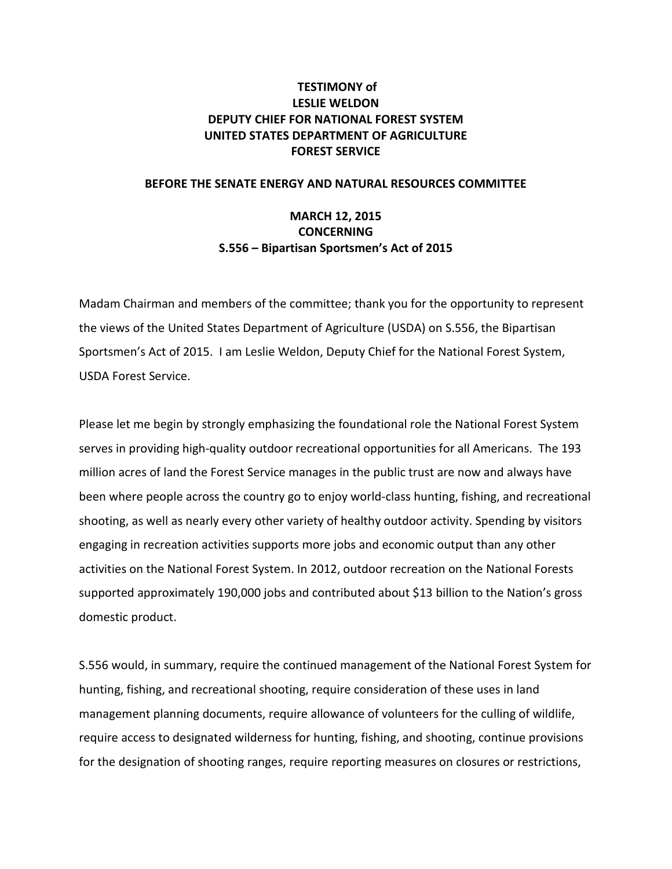# **TESTIMONY of LESLIE WELDON DEPUTY CHIEF FOR NATIONAL FOREST SYSTEM UNITED STATES DEPARTMENT OF AGRICULTURE FOREST SERVICE**

## **BEFORE THE SENATE ENERGY AND NATURAL RESOURCES COMMITTEE**

# **MARCH 12, 2015 CONCERNING S.556 – Bipartisan Sportsmen's Act of 2015**

Madam Chairman and members of the committee; thank you for the opportunity to represent the views of the United States Department of Agriculture (USDA) on S.556, the Bipartisan Sportsmen's Act of 2015. I am Leslie Weldon, Deputy Chief for the National Forest System, USDA Forest Service.

Please let me begin by strongly emphasizing the foundational role the National Forest System serves in providing high-quality outdoor recreational opportunities for all Americans. The 193 million acres of land the Forest Service manages in the public trust are now and always have been where people across the country go to enjoy world-class hunting, fishing, and recreational shooting, as well as nearly every other variety of healthy outdoor activity. Spending by visitors engaging in recreation activities supports more jobs and economic output than any other activities on the National Forest System. In 2012, outdoor recreation on the National Forests supported approximately 190,000 jobs and contributed about \$13 billion to the Nation's gross domestic product.

S.556 would, in summary, require the continued management of the National Forest System for hunting, fishing, and recreational shooting, require consideration of these uses in land management planning documents, require allowance of volunteers for the culling of wildlife, require access to designated wilderness for hunting, fishing, and shooting, continue provisions for the designation of shooting ranges, require reporting measures on closures or restrictions,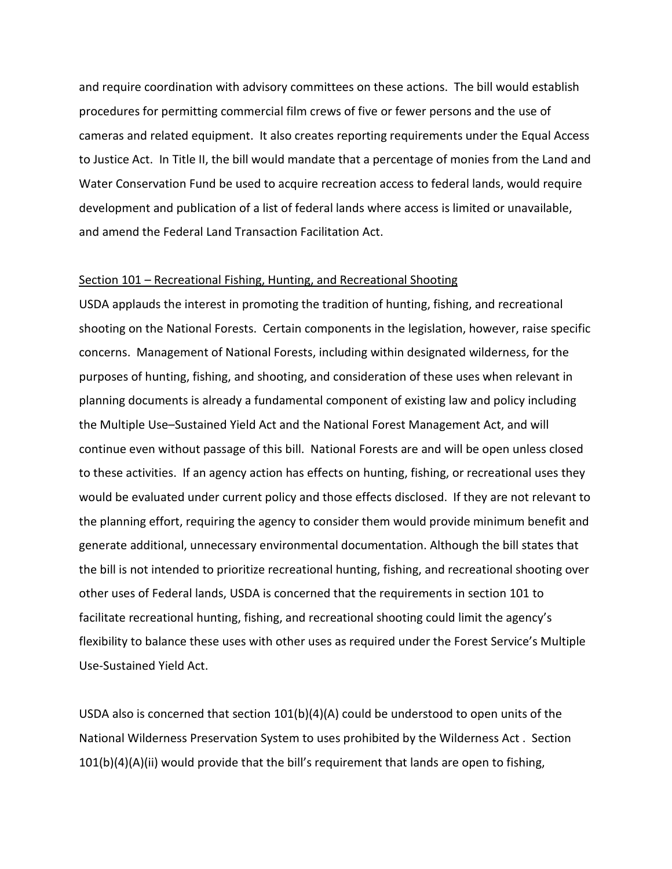and require coordination with advisory committees on these actions. The bill would establish procedures for permitting commercial film crews of five or fewer persons and the use of cameras and related equipment. It also creates reporting requirements under the Equal Access to Justice Act. In Title II, the bill would mandate that a percentage of monies from the Land and Water Conservation Fund be used to acquire recreation access to federal lands, would require development and publication of a list of federal lands where access is limited or unavailable, and amend the Federal Land Transaction Facilitation Act.

#### Section 101 – Recreational Fishing, Hunting, and Recreational Shooting

USDA applauds the interest in promoting the tradition of hunting, fishing, and recreational shooting on the National Forests. Certain components in the legislation, however, raise specific concerns. Management of National Forests, including within designated wilderness, for the purposes of hunting, fishing, and shooting, and consideration of these uses when relevant in planning documents is already a fundamental component of existing law and policy including the Multiple Use–Sustained Yield Act and the National Forest Management Act, and will continue even without passage of this bill. National Forests are and will be open unless closed to these activities. If an agency action has effects on hunting, fishing, or recreational uses they would be evaluated under current policy and those effects disclosed. If they are not relevant to the planning effort, requiring the agency to consider them would provide minimum benefit and generate additional, unnecessary environmental documentation. Although the bill states that the bill is not intended to prioritize recreational hunting, fishing, and recreational shooting over other uses of Federal lands, USDA is concerned that the requirements in section 101 to facilitate recreational hunting, fishing, and recreational shooting could limit the agency's flexibility to balance these uses with other uses as required under the Forest Service's Multiple Use-Sustained Yield Act.

USDA also is concerned that section 101(b)(4)(A) could be understood to open units of the National Wilderness Preservation System to uses prohibited by the Wilderness Act . Section 101(b)(4)(A)(ii) would provide that the bill's requirement that lands are open to fishing,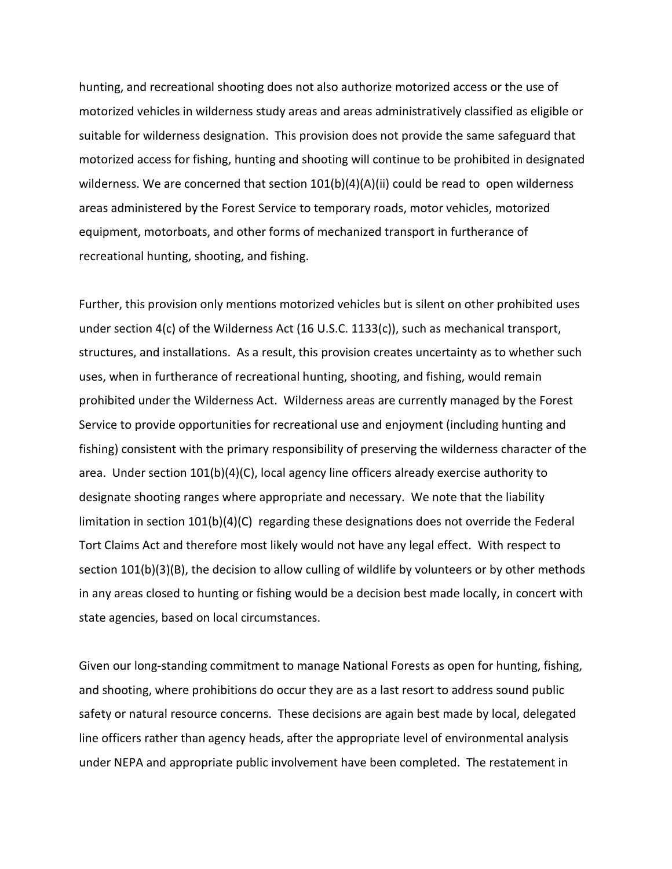hunting, and recreational shooting does not also authorize motorized access or the use of motorized vehicles in wilderness study areas and areas administratively classified as eligible or suitable for wilderness designation. This provision does not provide the same safeguard that motorized access for fishing, hunting and shooting will continue to be prohibited in designated wilderness. We are concerned that section  $101(b)(4)(A)(ii)$  could be read to open wilderness areas administered by the Forest Service to temporary roads, motor vehicles, motorized equipment, motorboats, and other forms of mechanized transport in furtherance of recreational hunting, shooting, and fishing.

Further, this provision only mentions motorized vehicles but is silent on other prohibited uses under section 4(c) of the Wilderness Act (16 U.S.C. 1133(c)), such as mechanical transport, structures, and installations. As a result, this provision creates uncertainty as to whether such uses, when in furtherance of recreational hunting, shooting, and fishing, would remain prohibited under the Wilderness Act. Wilderness areas are currently managed by the Forest Service to provide opportunities for recreational use and enjoyment (including hunting and fishing) consistent with the primary responsibility of preserving the wilderness character of the area. Under section 101(b)(4)(C), local agency line officers already exercise authority to designate shooting ranges where appropriate and necessary. We note that the liability limitation in section 101(b)(4)(C) regarding these designations does not override the Federal Tort Claims Act and therefore most likely would not have any legal effect. With respect to section 101(b)(3)(B), the decision to allow culling of wildlife by volunteers or by other methods in any areas closed to hunting or fishing would be a decision best made locally, in concert with state agencies, based on local circumstances.

Given our long-standing commitment to manage National Forests as open for hunting, fishing, and shooting, where prohibitions do occur they are as a last resort to address sound public safety or natural resource concerns. These decisions are again best made by local, delegated line officers rather than agency heads, after the appropriate level of environmental analysis under NEPA and appropriate public involvement have been completed. The restatement in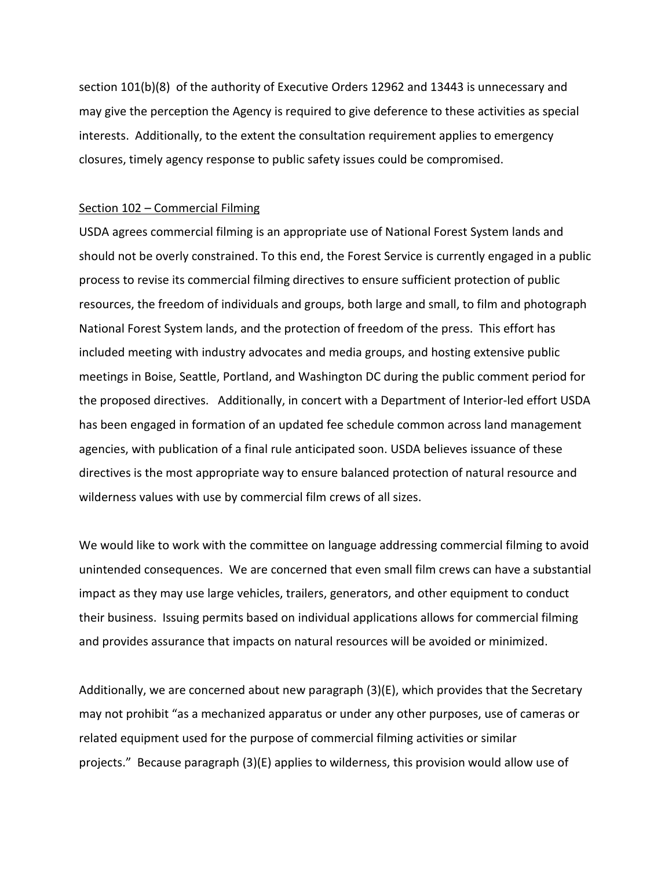section 101(b)(8) of the authority of Executive Orders 12962 and 13443 is unnecessary and may give the perception the Agency is required to give deference to these activities as special interests. Additionally, to the extent the consultation requirement applies to emergency closures, timely agency response to public safety issues could be compromised.

#### Section 102 – Commercial Filming

USDA agrees commercial filming is an appropriate use of National Forest System lands and should not be overly constrained. To this end, the Forest Service is currently engaged in a public process to revise its commercial filming directives to ensure sufficient protection of public resources, the freedom of individuals and groups, both large and small, to film and photograph National Forest System lands, and the protection of freedom of the press. This effort has included meeting with industry advocates and media groups, and hosting extensive public meetings in Boise, Seattle, Portland, and Washington DC during the public comment period for the proposed directives. Additionally, in concert with a Department of Interior-led effort USDA has been engaged in formation of an updated fee schedule common across land management agencies, with publication of a final rule anticipated soon. USDA believes issuance of these directives is the most appropriate way to ensure balanced protection of natural resource and wilderness values with use by commercial film crews of all sizes.

We would like to work with the committee on language addressing commercial filming to avoid unintended consequences. We are concerned that even small film crews can have a substantial impact as they may use large vehicles, trailers, generators, and other equipment to conduct their business. Issuing permits based on individual applications allows for commercial filming and provides assurance that impacts on natural resources will be avoided or minimized.

Additionally, we are concerned about new paragraph (3)(E), which provides that the Secretary may not prohibit "as a mechanized apparatus or under any other purposes, use of cameras or related equipment used for the purpose of commercial filming activities or similar projects." Because paragraph (3)(E) applies to wilderness, this provision would allow use of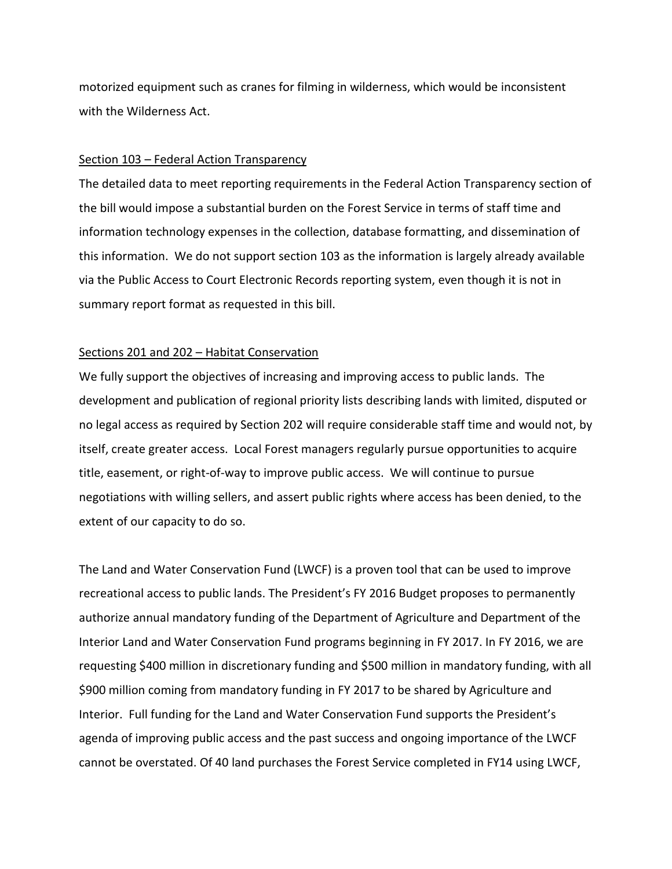motorized equipment such as cranes for filming in wilderness, which would be inconsistent with the Wilderness Act.

### Section 103 – Federal Action Transparency

The detailed data to meet reporting requirements in the Federal Action Transparency section of the bill would impose a substantial burden on the Forest Service in terms of staff time and information technology expenses in the collection, database formatting, and dissemination of this information. We do not support section 103 as the information is largely already available via the Public Access to Court Electronic Records reporting system, even though it is not in summary report format as requested in this bill.

### Sections 201 and 202 – Habitat Conservation

We fully support the objectives of increasing and improving access to public lands. The development and publication of regional priority lists describing lands with limited, disputed or no legal access as required by Section 202 will require considerable staff time and would not, by itself, create greater access. Local Forest managers regularly pursue opportunities to acquire title, easement, or right-of-way to improve public access. We will continue to pursue negotiations with willing sellers, and assert public rights where access has been denied, to the extent of our capacity to do so.

The Land and Water Conservation Fund (LWCF) is a proven tool that can be used to improve recreational access to public lands. The President's FY 2016 Budget proposes to permanently authorize annual mandatory funding of the Department of Agriculture and Department of the Interior Land and Water Conservation Fund programs beginning in FY 2017. In FY 2016, we are requesting \$400 million in discretionary funding and \$500 million in mandatory funding, with all \$900 million coming from mandatory funding in FY 2017 to be shared by Agriculture and Interior. Full funding for the Land and Water Conservation Fund supports the President's agenda of improving public access and the past success and ongoing importance of the LWCF cannot be overstated. Of 40 land purchases the Forest Service completed in FY14 using LWCF,